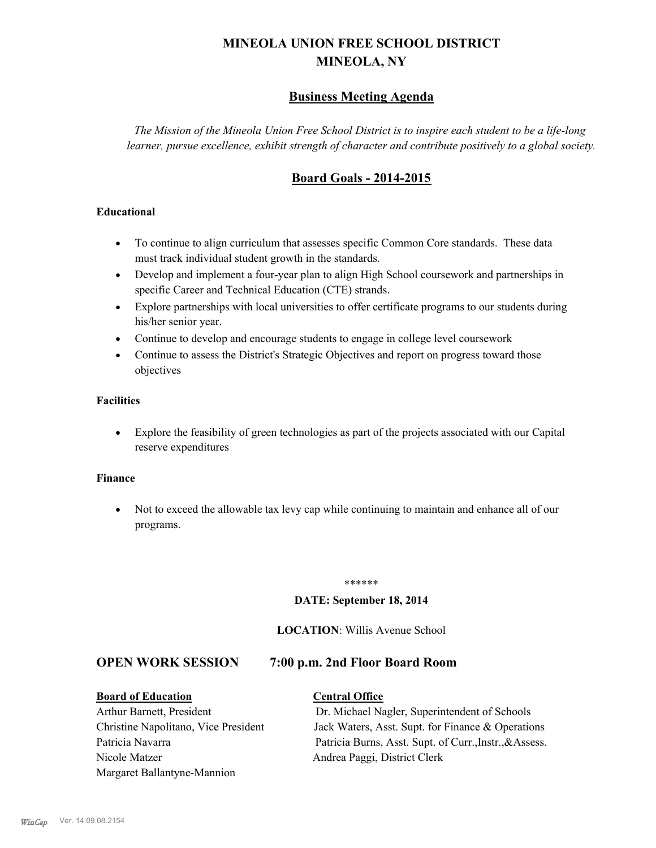# **MINEOLA UNION FREE SCHOOL DISTRICT MINEOLA, NY**

# **Business Meeting Agenda**

*The Mission of the Mineola Union Free School District is to inspire each student to be a life-long learner, pursue excellence, exhibit strength of character and contribute positively to a global society.*

# **Board Goals - 2014-2015**

#### **Educational**

- · To continue to align curriculum that assesses specific Common Core standards. These data must track individual student growth in the standards.
- · Develop and implement a four-year plan to align High School coursework and partnerships in specific Career and Technical Education (CTE) strands.
- · Explore partnerships with local universities to offer certificate programs to our students during his/her senior year.
- · Continue to develop and encourage students to engage in college level coursework
- Continue to assess the District's Strategic Objectives and report on progress toward those objectives

#### **Facilities**

· Explore the feasibility of green technologies as part of the projects associated with our Capital reserve expenditures

#### **Finance**

· Not to exceed the allowable tax levy cap while continuing to maintain and enhance all of our programs.

#### \*\*\*\*\*\*

#### **DATE: September 18, 2014**

#### **LOCATION**: Willis Avenue School

## **OPEN WORK SESSION 7:00 p.m. 2nd Floor Board Room**

#### **Board of Education Central Office**

Nicole Matzer Andrea Paggi, District Clerk Margaret Ballantyne-Mannion

Arthur Barnett, President Dr. Michael Nagler, Superintendent of Schools Christine Napolitano, Vice President Jack Waters, Asst. Supt. for Finance & Operations Patricia Navarra Patricia Burns, Asst. Supt. of Curr., Instr., &Assess.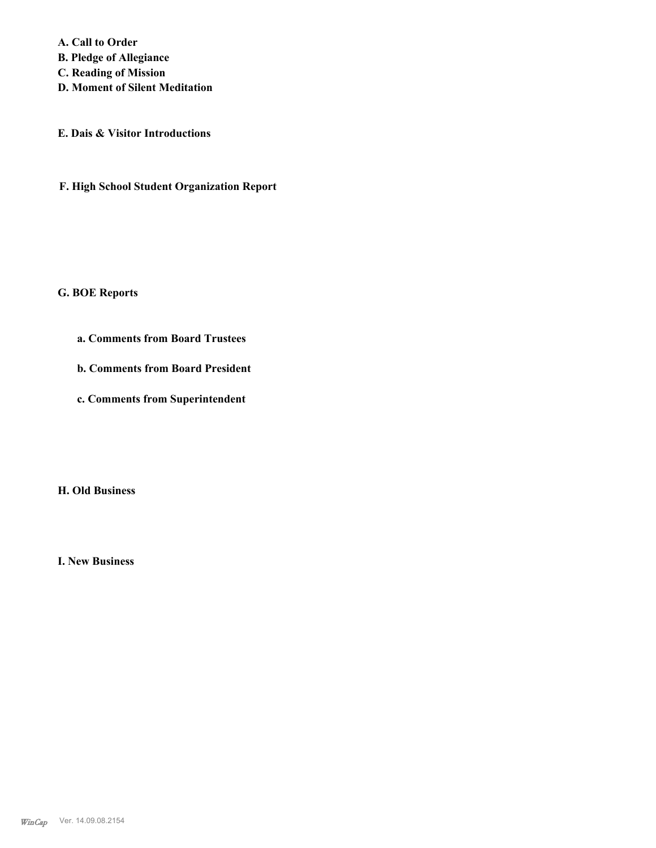**A. Call to Order** 

**B. Pledge of Allegiance**

**C. Reading of Mission**

**D. Moment of Silent Meditation**

**E. Dais & Visitor Introductions**

**F. High School Student Organization Report**

#### **G. BOE Reports**

**a. Comments from Board Trustees**

**b. Comments from Board President**

**c. Comments from Superintendent**

**H. Old Business**

**I. New Business**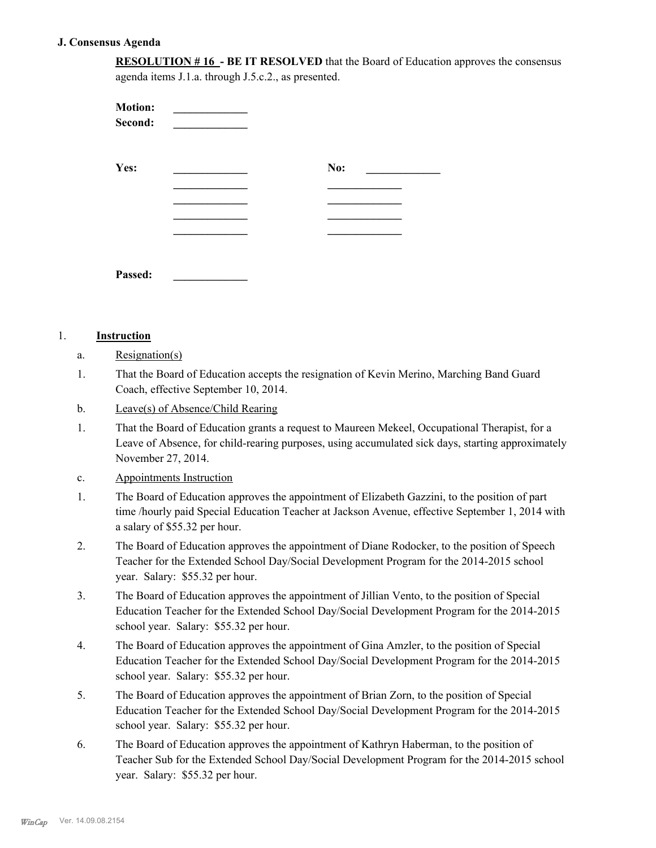#### **J. Consensus Agenda**

**RESOLUTION # 16 - BE IT RESOLVED** that the Board of Education approves the consensus agenda items J.1.a. through J.5.c.2., as presented.

| <b>Motion:</b><br>Second: |     |
|---------------------------|-----|
| Yes:                      | No: |
|                           |     |
|                           |     |
|                           |     |
|                           |     |
| Passed:                   |     |

#### 1. **Instruction**

- a. Resignation(s)
- That the Board of Education accepts the resignation of Kevin Merino, Marching Band Guard Coach, effective September 10, 2014. 1.
- b. Leave(s) of Absence/Child Rearing
- That the Board of Education grants a request to Maureen Mekeel, Occupational Therapist, for a Leave of Absence, for child-rearing purposes, using accumulated sick days, starting approximately November 27, 2014. 1.
- c. Appointments Instruction
- The Board of Education approves the appointment of Elizabeth Gazzini, to the position of part time /hourly paid Special Education Teacher at Jackson Avenue, effective September 1, 2014 with a salary of \$55.32 per hour. 1.
- The Board of Education approves the appointment of Diane Rodocker, to the position of Speech Teacher for the Extended School Day/Social Development Program for the 2014-2015 school year. Salary: \$55.32 per hour. 2.
- The Board of Education approves the appointment of Jillian Vento, to the position of Special Education Teacher for the Extended School Day/Social Development Program for the 2014-2015 school year. Salary: \$55.32 per hour. 3.
- The Board of Education approves the appointment of Gina Amzler, to the position of Special Education Teacher for the Extended School Day/Social Development Program for the 2014-2015 school year. Salary: \$55.32 per hour. 4.
- The Board of Education approves the appointment of Brian Zorn, to the position of Special Education Teacher for the Extended School Day/Social Development Program for the 2014-2015 school year. Salary: \$55.32 per hour. 5.
- The Board of Education approves the appointment of Kathryn Haberman, to the position of Teacher Sub for the Extended School Day/Social Development Program for the 2014-2015 school year. Salary: \$55.32 per hour. 6.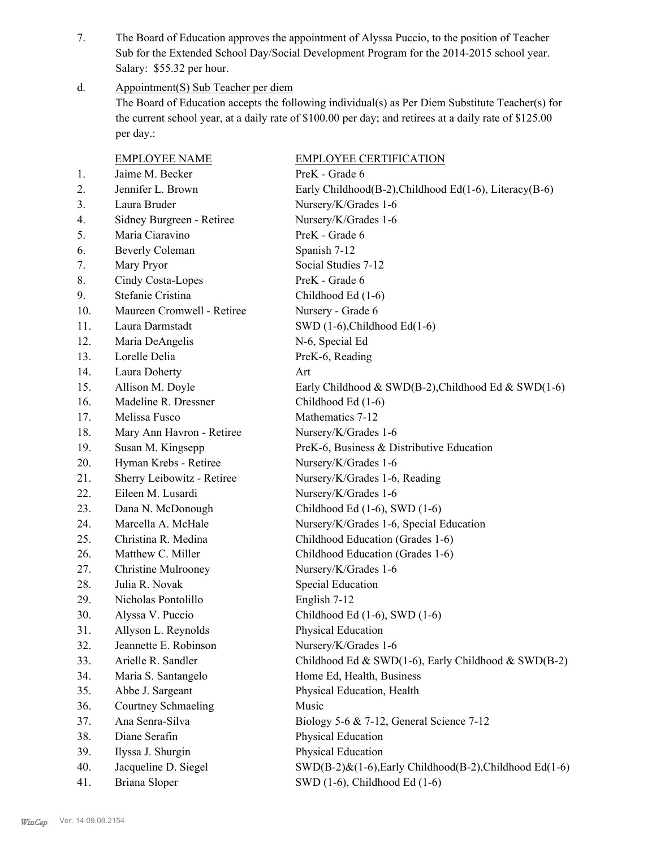The Board of Education approves the appointment of Alyssa Puccio, to the position of Teacher Sub for the Extended School Day/Social Development Program for the 2014-2015 school year. Salary: \$55.32 per hour. 7.

Appointment(S) Sub Teacher per diem d.

> The Board of Education accepts the following individual(s) as Per Diem Substitute Teacher(s) for the current school year, at a daily rate of \$100.00 per day; and retirees at a daily rate of \$125.00 per day.:

|     | <b>EMPLOYEE NAME</b>       | <b>EMPLOYEE CERTIFICATION</b>                           |
|-----|----------------------------|---------------------------------------------------------|
| 1.  | Jaime M. Becker            | PreK - Grade 6                                          |
| 2.  | Jennifer L. Brown          | Early Childhood(B-2), Childhood Ed(1-6), Literacy(B-6)  |
| 3.  | Laura Bruder               | Nursery/K/Grades 1-6                                    |
| 4.  | Sidney Burgreen - Retiree  | Nursery/K/Grades 1-6                                    |
| 5.  | Maria Ciaravino            | PreK - Grade 6                                          |
| 6.  | <b>Beverly Coleman</b>     | Spanish 7-12                                            |
| 7.  | Mary Pryor                 | Social Studies 7-12                                     |
| 8.  | Cindy Costa-Lopes          | PreK - Grade 6                                          |
| 9.  | Stefanie Cristina          | Childhood Ed (1-6)                                      |
| 10. | Maureen Cromwell - Retiree | Nursery - Grade 6                                       |
| 11. | Laura Darmstadt            | SWD $(1-6)$ , Childhood Ed $(1-6)$                      |
| 12. | Maria DeAngelis            | N-6, Special Ed                                         |
| 13. | Lorelle Delia              | PreK-6, Reading                                         |
| 14. | Laura Doherty              | Art                                                     |
| 15. | Allison M. Doyle           | Early Childhood & SWD(B-2), Childhood Ed & SWD(1-6)     |
| 16. | Madeline R. Dressner       | Childhood Ed (1-6)                                      |
| 17. | Melissa Fusco              | Mathematics 7-12                                        |
| 18. | Mary Ann Havron - Retiree  | Nursery/K/Grades 1-6                                    |
| 19. | Susan M. Kingsepp          | PreK-6, Business & Distributive Education               |
| 20. | Hyman Krebs - Retiree      | Nursery/K/Grades 1-6                                    |
| 21. | Sherry Leibowitz - Retiree | Nursery/K/Grades 1-6, Reading                           |
| 22. | Eileen M. Lusardi          | Nursery/K/Grades 1-6                                    |
| 23. | Dana N. McDonough          | Childhood Ed $(1-6)$ , SWD $(1-6)$                      |
| 24. | Marcella A. McHale         | Nursery/K/Grades 1-6, Special Education                 |
| 25. | Christina R. Medina        | Childhood Education (Grades 1-6)                        |
| 26. | Matthew C. Miller          | Childhood Education (Grades 1-6)                        |
| 27. | <b>Christine Mulrooney</b> | Nursery/K/Grades 1-6                                    |
| 28. | Julia R. Novak             | Special Education                                       |
| 29. | Nicholas Pontolillo        | English 7-12                                            |
| 30. | Alyssa V. Puccio           | Childhood Ed (1-6), SWD (1-6)                           |
| 31. | Allyson L. Reynolds        | Physical Education                                      |
| 32. | Jeannette E. Robinson      | Nursery/K/Grades 1-6                                    |
| 33. | Arielle R. Sandler         | Childhood Ed & SWD(1-6), Early Childhood & SWD(B-2)     |
| 34. | Maria S. Santangelo        | Home Ed, Health, Business                               |
| 35. | Abbe J. Sargeant           | Physical Education, Health                              |
| 36. | Courtney Schmaeling        | Music                                                   |
| 37. | Ana Senra-Silva            | Biology 5-6 & 7-12, General Science 7-12                |
| 38. | Diane Serafin              | Physical Education                                      |
| 39. | Ilyssa J. Shurgin          | Physical Education                                      |
| 40. | Jacqueline D. Siegel       | SWD(B-2)&(1-6), Early Childhood(B-2), Childhood Ed(1-6) |
| 41. | <b>Briana Sloper</b>       | SWD (1-6), Childhood Ed (1-6)                           |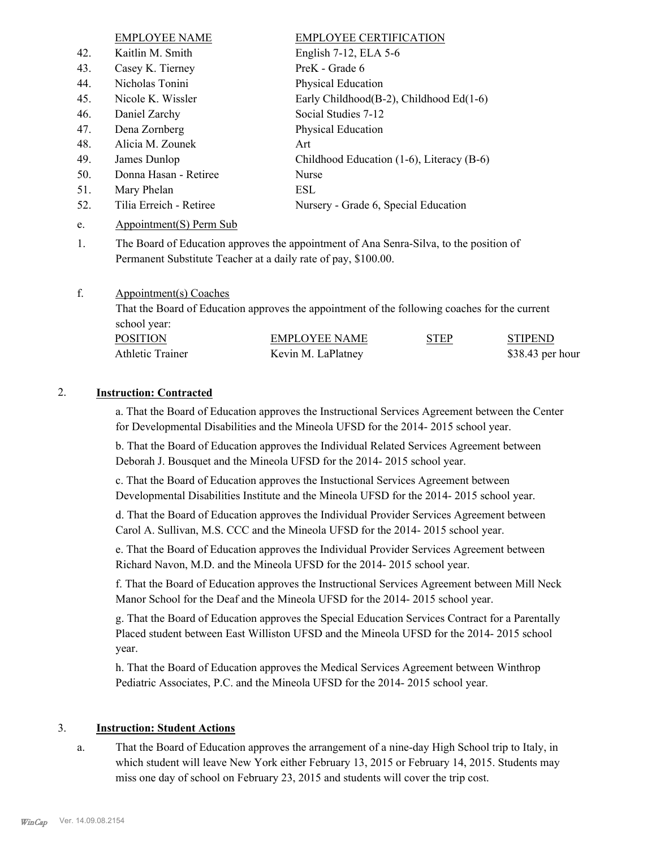EMPLOYEE NAME EMPLOYEE CERTIFICATION 42. Kaitlin M. Smith English 7-12, ELA 5-6 43. Casey K. Tierney PreK - Grade 6 44. Nicholas Tonini Physical Education 45. Nicole K. Wissler Early Childhood(B-2), Childhood Ed(1-6) 46. Daniel Zarchy Social Studies 7-12 47. Dena Zornberg Physical Education 48. Alicia M. Zounek Art 49. James Dunlop Childhood Education (1-6), Literacy (B-6) 50. Donna Hasan - Retiree Nurse 51. Mary Phelan ESL 52. Tilia Erreich - Retiree Nursery - Grade 6, Special Education e. Appointment(S) Perm Sub

The Board of Education approves the appointment of Ana Senra-Silva, to the position of Permanent Substitute Teacher at a daily rate of pay, \$100.00. 1.

#### Appointment(s) Coaches f.

That the Board of Education approves the appointment of the following coaches for the current school year:

| <b>POSITION</b>  | EMPLOYEE NAME      | <b>STEP</b> | <b>STIPEND</b>   |
|------------------|--------------------|-------------|------------------|
| Athletic Trainer | Kevin M. LaPlatney |             | \$38.43 per hour |

#### 2. **Instruction: Contracted**

a. That the Board of Education approves the Instructional Services Agreement between the Center for Developmental Disabilities and the Mineola UFSD for the 2014- 2015 school year.

b. That the Board of Education approves the Individual Related Services Agreement between Deborah J. Bousquet and the Mineola UFSD for the 2014- 2015 school year.

c. That the Board of Education approves the Instuctional Services Agreement between Developmental Disabilities Institute and the Mineola UFSD for the 2014- 2015 school year.

d. That the Board of Education approves the Individual Provider Services Agreement between Carol A. Sullivan, M.S. CCC and the Mineola UFSD for the 2014- 2015 school year.

e. That the Board of Education approves the Individual Provider Services Agreement between Richard Navon, M.D. and the Mineola UFSD for the 2014- 2015 school year.

f. That the Board of Education approves the Instructional Services Agreement between Mill Neck Manor School for the Deaf and the Mineola UFSD for the 2014- 2015 school year.

g. That the Board of Education approves the Special Education Services Contract for a Parentally Placed student between East Williston UFSD and the Mineola UFSD for the 2014- 2015 school year.

h. That the Board of Education approves the Medical Services Agreement between Winthrop Pediatric Associates, P.C. and the Mineola UFSD for the 2014- 2015 school year.

#### 3. **Instruction: Student Actions**

That the Board of Education approves the arrangement of a nine-day High School trip to Italy, in which student will leave New York either February 13, 2015 or February 14, 2015. Students may miss one day of school on February 23, 2015 and students will cover the trip cost. a.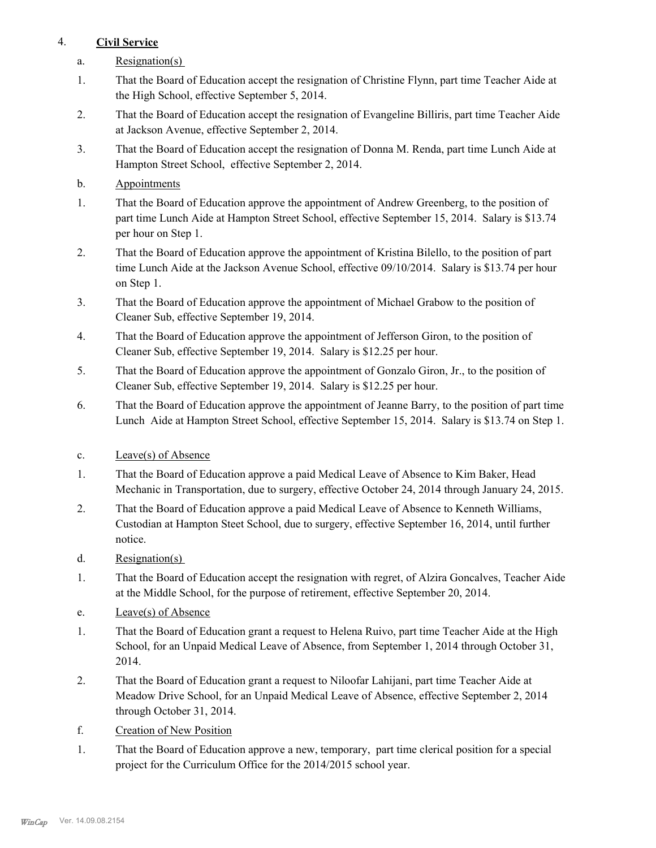# 4. **Civil Service**

- a. Resignation(s)
- That the Board of Education accept the resignation of Christine Flynn, part time Teacher Aide at the High School, effective September 5, 2014. 1.
- That the Board of Education accept the resignation of Evangeline Billiris, part time Teacher Aide at Jackson Avenue, effective September 2, 2014. 2.
- That the Board of Education accept the resignation of Donna M. Renda, part time Lunch Aide at Hampton Street School, effective September 2, 2014. 3.
- b. Appointments
- That the Board of Education approve the appointment of Andrew Greenberg, to the position of part time Lunch Aide at Hampton Street School, effective September 15, 2014. Salary is \$13.74 per hour on Step 1. 1.
- That the Board of Education approve the appointment of Kristina Bilello, to the position of part time Lunch Aide at the Jackson Avenue School, effective 09/10/2014. Salary is \$13.74 per hour on Step 1. 2.
- That the Board of Education approve the appointment of Michael Grabow to the position of Cleaner Sub, effective September 19, 2014. 3.
- That the Board of Education approve the appointment of Jefferson Giron, to the position of Cleaner Sub, effective September 19, 2014. Salary is \$12.25 per hour. 4.
- That the Board of Education approve the appointment of Gonzalo Giron, Jr., to the position of Cleaner Sub, effective September 19, 2014. Salary is \$12.25 per hour. 5.
- That the Board of Education approve the appointment of Jeanne Barry, to the position of part time Lunch Aide at Hampton Street School, effective September 15, 2014. Salary is \$13.74 on Step 1. 6.
- c. Leave(s) of Absence
- That the Board of Education approve a paid Medical Leave of Absence to Kim Baker, Head Mechanic in Transportation, due to surgery, effective October 24, 2014 through January 24, 2015. 1.
- That the Board of Education approve a paid Medical Leave of Absence to Kenneth Williams, Custodian at Hampton Steet School, due to surgery, effective September 16, 2014, until further notice. 2.
- d. Resignation(s)
- That the Board of Education accept the resignation with regret, of Alzira Goncalves, Teacher Aide at the Middle School, for the purpose of retirement, effective September 20, 2014. 1.
- e. Leave(s) of Absence
- That the Board of Education grant a request to Helena Ruivo, part time Teacher Aide at the High School, for an Unpaid Medical Leave of Absence, from September 1, 2014 through October 31, 2014. 1.
- That the Board of Education grant a request to Niloofar Lahijani, part time Teacher Aide at Meadow Drive School, for an Unpaid Medical Leave of Absence, effective September 2, 2014 through October 31, 2014. 2.
- f. Creation of New Position
- That the Board of Education approve a new, temporary, part time clerical position for a special project for the Curriculum Office for the 2014/2015 school year. 1.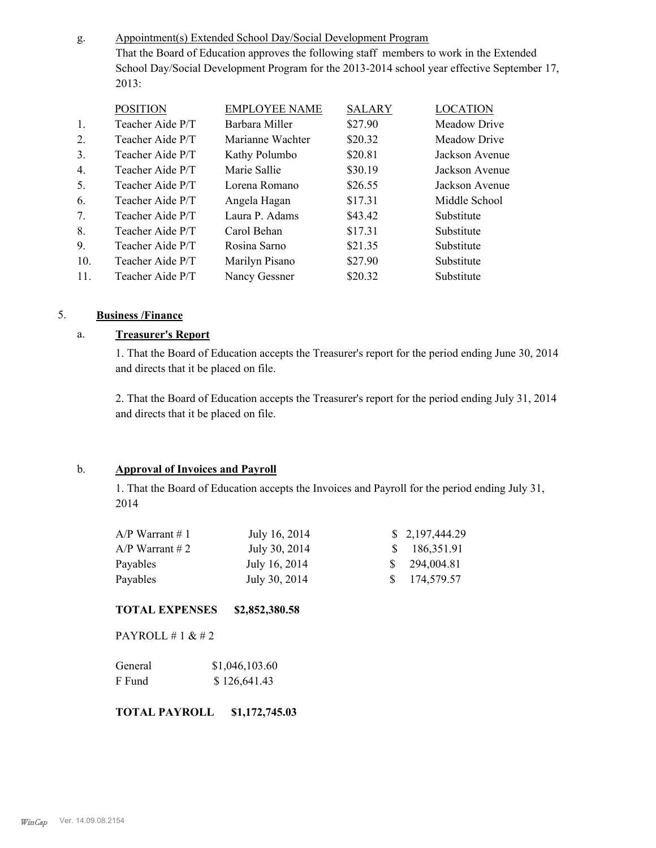Appointment(s) Extended School Day/Social Development Program That the Board of Education approves the following staff members to work in the Extended School Day/Social Development Program for the 2013-2014 school year effective September 17, 2013: g.

| <b>POSITION</b>  | <b>EMPLOYEE NAME</b> | <b>SALARY</b> | <b>LOCATION</b> |
|------------------|----------------------|---------------|-----------------|
| Teacher Aide P/T | Barbara Miller       | \$27.90       | Meadow Drive    |
| Teacher Aide P/T | Marianne Wachter     | \$20.32       | Meadow Drive    |
| Teacher Aide P/T | Kathy Polumbo        | \$20.81       | Jackson Avenue  |
| Teacher Aide P/T | Marie Sallie         | \$30.19       | Jackson Avenue  |
| Teacher Aide P/T | Lorena Romano        | \$26.55       | Jackson Avenue  |
| Teacher Aide P/T | Angela Hagan         | \$17.31       | Middle School   |
| Teacher Aide P/T | Laura P. Adams       | \$43.42       | Substitute      |
| Teacher Aide P/T | Carol Behan          | \$17.31       | Substitute      |
| Teacher Aide P/T | Rosina Sarno         | \$21.35       | Substitute      |
| Teacher Aide P/T | Marilyn Pisano       | \$27.90       | Substitute      |
| Teacher Aide P/T | Nancy Gessner        | \$20.32       | Substitute      |
|                  |                      |               |                 |

## 5. **Business /Finance**

#### a. **Treasurer's Report**

1. That the Board of Education accepts the Treasurer's report for the period ending June 30, 2014 and directs that it be placed on file.

2. That the Board of Education accepts the Treasurer's report for the period ending July 31, 2014 and directs that it be placed on file.

#### b. **Approval of Invoices and Payroll**

1. That the Board of Education accepts the Invoices and Payroll for the period ending July 31, 2014

| $A/P$ Warrant # 1 | July 16, 2014 | \$2,197,444.29 |
|-------------------|---------------|----------------|
| $A/P$ Warrant # 2 | July 30, 2014 | \$186,351.91   |
| Payables          | July 16, 2014 | \$294,004.81   |
| Payables          | July 30, 2014 | \$174,579.57   |

#### **TOTAL EXPENSES \$2,852,380.58**

PAYROLL # 1 & # 2

| General | \$1,046,103.60 |
|---------|----------------|
| F Fund  | \$126,641.43   |

**TOTAL PAYROLL \$1,172,745.03**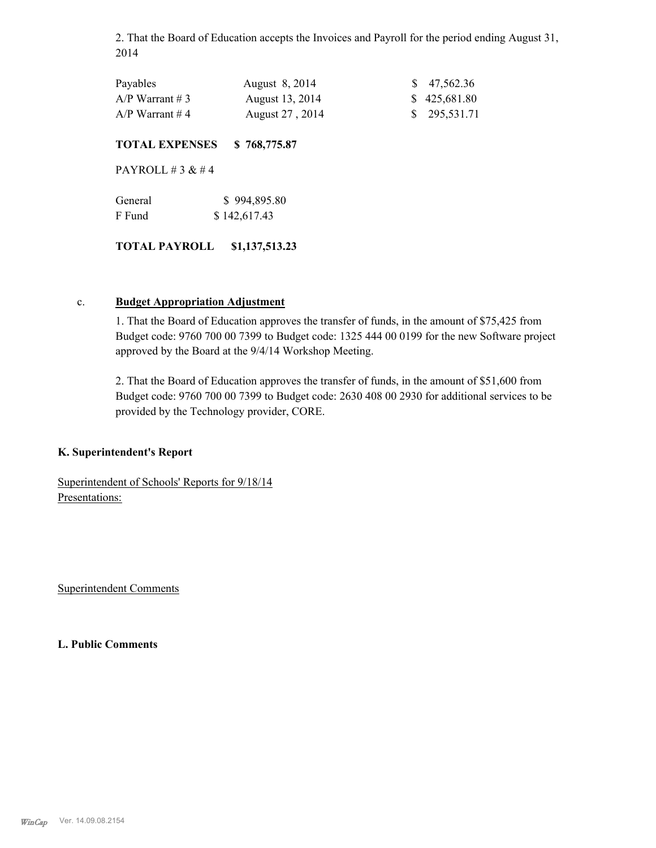2. That the Board of Education accepts the Invoices and Payroll for the period ending August 31, 2014

| Payables          | August 8, 2014  | $\frac{\$}{9}$ 47,562.36 |
|-------------------|-----------------|--------------------------|
| $A/P$ Warrant # 3 | August 13, 2014 | \$425,681.80             |
| $A/P$ Warrant #4  | August 27, 2014 | \$295,531.71             |

#### **TOTAL EXPENSES \$ 768,775.87**

PAYROLL  $# 3 \& # 4$ 

| General | \$994,895.80 |
|---------|--------------|
| F Fund  | \$142,617.43 |

#### **TOTAL PAYROLL \$1,137,513.23**

#### c. **Budget Appropriation Adjustment**

1. That the Board of Education approves the transfer of funds, in the amount of \$75,425 from Budget code: 9760 700 00 7399 to Budget code: 1325 444 00 0199 for the new Software project approved by the Board at the 9/4/14 Workshop Meeting.

2. That the Board of Education approves the transfer of funds, in the amount of \$51,600 from Budget code: 9760 700 00 7399 to Budget code: 2630 408 00 2930 for additional services to be provided by the Technology provider, CORE.

#### **K. Superintendent's Report**

Superintendent of Schools' Reports for 9/18/14 Presentations:

Superintendent Comments

**L. Public Comments**